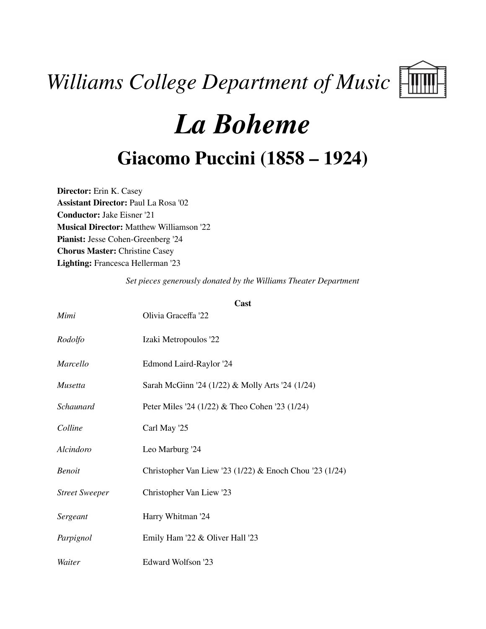# *Williams College Department of Music*



# *La Boheme*

## **Giacomo Puccini (1858 – 1924)**

**Director:** Erin K. Casey **Assistant Director:** Paul La Rosa '02 **Conductor:** Jake Eisner '21 **Musical Director:** Matthew Williamson '22 **Pianist:** Jesse Cohen-Greenberg '24 **Chorus Master:** Christine Casey **Lighting:** Francesca Hellerman '23

*Set pieces generously donated by the Williams Theater Department*

|                       | Cast                                                    |
|-----------------------|---------------------------------------------------------|
| Mimi                  | Olivia Graceffa '22                                     |
| Rodolfo               | Izaki Metropoulos '22                                   |
| Marcello              | Edmond Laird-Raylor '24                                 |
| Musetta               | Sarah McGinn '24 (1/22) & Molly Arts '24 (1/24)         |
| Schaunard             | Peter Miles '24 (1/22) & Theo Cohen '23 (1/24)          |
| Colline               | Carl May '25                                            |
| Alcindoro             | Leo Marburg '24                                         |
| <b>Benoit</b>         | Christopher Van Liew '23 (1/22) & Enoch Chou '23 (1/24) |
| <b>Street Sweeper</b> | Christopher Van Liew '23                                |
| Sergeant              | Harry Whitman '24                                       |
| Parpignol             | Emily Ham '22 & Oliver Hall '23                         |
| Waiter                | Edward Wolfson '23                                      |